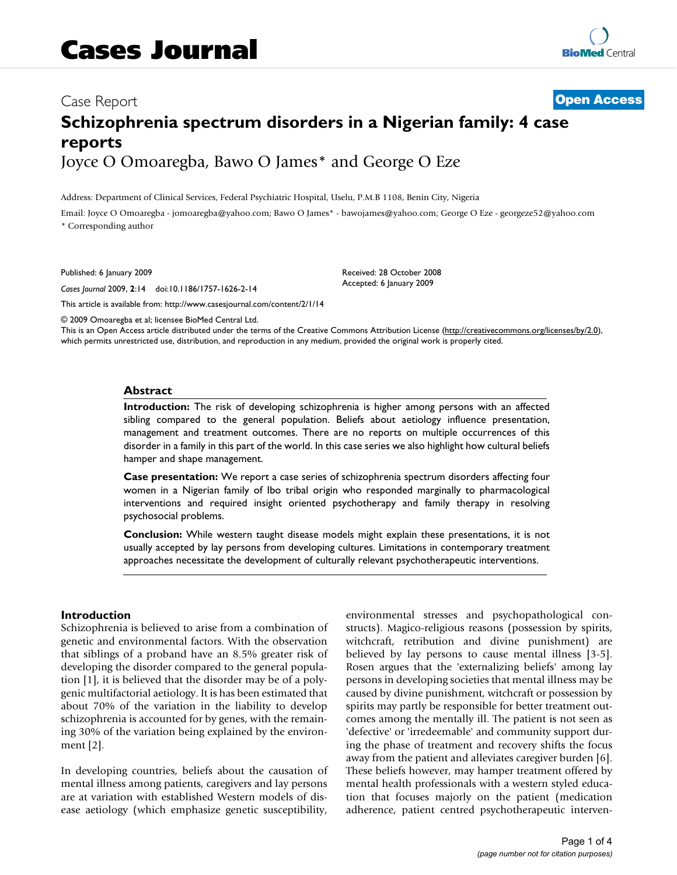# Case Report **[Open Access](http://www.biomedcentral.com/info/about/charter/) Schizophrenia spectrum disorders in a Nigerian family: 4 case reports** Joyce O Omoaregba, Bawo O James\* and George O Eze

Address: Department of Clinical Services, Federal Psychiatric Hospital, Uselu, P.M.B 1108, Benin City, Nigeria

Email: Joyce O Omoaregba - jomoaregba@yahoo.com; Bawo O James\* - bawojames@yahoo.com; George O Eze - georgeze52@yahoo.com \* Corresponding author

Published: 6 January 2009

*Cases Journal* 2009, **2**:14 doi:10.1186/1757-1626-2-14

[This article is available from: http://www.casesjournal.com/content/2/1/14](http://www.casesjournal.com/content/2/1/14)

© 2009 Omoaregba et al; licensee BioMed Central Ltd.

This is an Open Access article distributed under the terms of the Creative Commons Attribution License [\(http://creativecommons.org/licenses/by/2.0\)](http://creativecommons.org/licenses/by/2.0), which permits unrestricted use, distribution, and reproduction in any medium, provided the original work is properly cited.

Received: 28 October 2008 Accepted: 6 January 2009

#### **Abstract**

**Introduction:** The risk of developing schizophrenia is higher among persons with an affected sibling compared to the general population. Beliefs about aetiology influence presentation, management and treatment outcomes. There are no reports on multiple occurrences of this disorder in a family in this part of the world. In this case series we also highlight how cultural beliefs hamper and shape management.

**Case presentation:** We report a case series of schizophrenia spectrum disorders affecting four women in a Nigerian family of Ibo tribal origin who responded marginally to pharmacological interventions and required insight oriented psychotherapy and family therapy in resolving psychosocial problems.

**Conclusion:** While western taught disease models might explain these presentations, it is not usually accepted by lay persons from developing cultures. Limitations in contemporary treatment approaches necessitate the development of culturally relevant psychotherapeutic interventions.

#### **Introduction**

Schizophrenia is believed to arise from a combination of genetic and environmental factors. With the observation that siblings of a proband have an 8.5% greater risk of developing the disorder compared to the general population [1], it is believed that the disorder may be of a polygenic multifactorial aetiology. It is has been estimated that about 70% of the variation in the liability to develop schizophrenia is accounted for by genes, with the remaining 30% of the variation being explained by the environment [2].

In developing countries, beliefs about the causation of mental illness among patients, caregivers and lay persons are at variation with established Western models of disease aetiology (which emphasize genetic susceptibility, environmental stresses and psychopathological constructs). Magico-religious reasons (possession by spirits, witchcraft, retribution and divine punishment) are believed by lay persons to cause mental illness [3-5]. Rosen argues that the 'externalizing beliefs' among lay persons in developing societies that mental illness may be caused by divine punishment, witchcraft or possession by spirits may partly be responsible for better treatment outcomes among the mentally ill. The patient is not seen as 'defective' or 'irredeemable' and community support during the phase of treatment and recovery shifts the focus away from the patient and alleviates caregiver burden [6]. These beliefs however, may hamper treatment offered by mental health professionals with a western styled education that focuses majorly on the patient (medication adherence, patient centred psychotherapeutic interven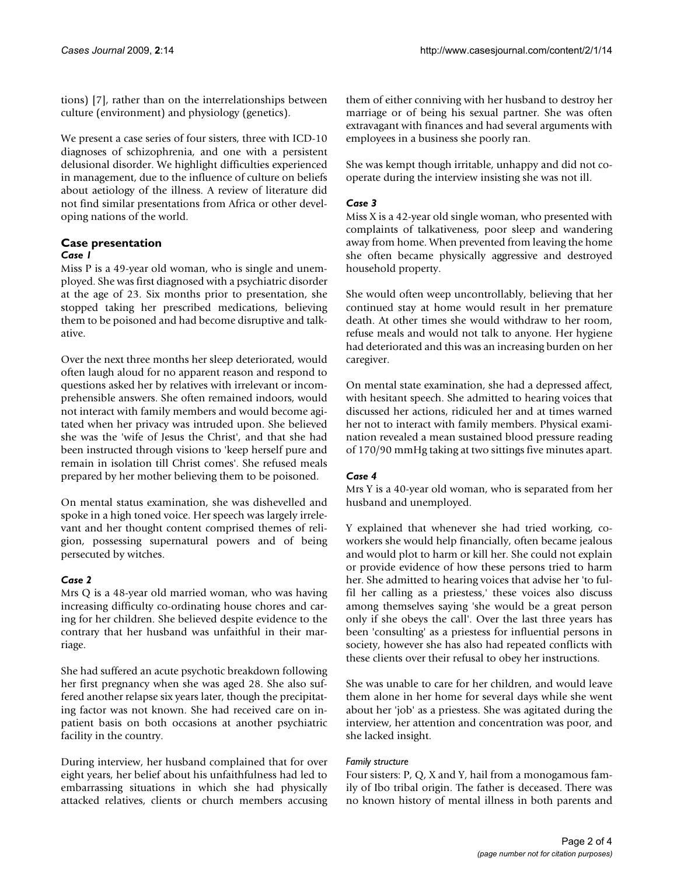tions) [7], rather than on the interrelationships between culture (environment) and physiology (genetics).

We present a case series of four sisters, three with ICD-10 diagnoses of schizophrenia, and one with a persistent delusional disorder. We highlight difficulties experienced in management, due to the influence of culture on beliefs about aetiology of the illness. A review of literature did not find similar presentations from Africa or other developing nations of the world.

## **Case presentation**

#### *Case 1*

Miss P is a 49-year old woman, who is single and unemployed. She was first diagnosed with a psychiatric disorder at the age of 23. Six months prior to presentation, she stopped taking her prescribed medications, believing them to be poisoned and had become disruptive and talkative.

Over the next three months her sleep deteriorated, would often laugh aloud for no apparent reason and respond to questions asked her by relatives with irrelevant or incomprehensible answers. She often remained indoors, would not interact with family members and would become agitated when her privacy was intruded upon. She believed she was the 'wife of Jesus the Christ', and that she had been instructed through visions to 'keep herself pure and remain in isolation till Christ comes'. She refused meals prepared by her mother believing them to be poisoned.

On mental status examination, she was dishevelled and spoke in a high toned voice. Her speech was largely irrelevant and her thought content comprised themes of religion, possessing supernatural powers and of being persecuted by witches.

## *Case 2*

Mrs Q is a 48-year old married woman, who was having increasing difficulty co-ordinating house chores and caring for her children. She believed despite evidence to the contrary that her husband was unfaithful in their marriage.

She had suffered an acute psychotic breakdown following her first pregnancy when she was aged 28. She also suffered another relapse six years later, though the precipitating factor was not known. She had received care on inpatient basis on both occasions at another psychiatric facility in the country.

During interview, her husband complained that for over eight years, her belief about his unfaithfulness had led to embarrassing situations in which she had physically attacked relatives, clients or church members accusing them of either conniving with her husband to destroy her marriage or of being his sexual partner. She was often extravagant with finances and had several arguments with employees in a business she poorly ran.

She was kempt though irritable, unhappy and did not cooperate during the interview insisting she was not ill.

## *Case 3*

Miss X is a 42-year old single woman, who presented with complaints of talkativeness, poor sleep and wandering away from home. When prevented from leaving the home she often became physically aggressive and destroyed household property.

She would often weep uncontrollably, believing that her continued stay at home would result in her premature death. At other times she would withdraw to her room, refuse meals and would not talk to anyone. Her hygiene had deteriorated and this was an increasing burden on her caregiver.

On mental state examination, she had a depressed affect, with hesitant speech. She admitted to hearing voices that discussed her actions, ridiculed her and at times warned her not to interact with family members. Physical examination revealed a mean sustained blood pressure reading of 170/90 mmHg taking at two sittings five minutes apart.

## *Case 4*

Mrs Y is a 40-year old woman, who is separated from her husband and unemployed.

Y explained that whenever she had tried working, coworkers she would help financially, often became jealous and would plot to harm or kill her. She could not explain or provide evidence of how these persons tried to harm her. She admitted to hearing voices that advise her 'to fulfil her calling as a priestess,' these voices also discuss among themselves saying 'she would be a great person only if she obeys the call'. Over the last three years has been 'consulting' as a priestess for influential persons in society, however she has also had repeated conflicts with these clients over their refusal to obey her instructions.

She was unable to care for her children, and would leave them alone in her home for several days while she went about her 'job' as a priestess. She was agitated during the interview, her attention and concentration was poor, and she lacked insight.

## *Family structure*

Four sisters: P, Q, X and Y, hail from a monogamous family of Ibo tribal origin. The father is deceased. There was no known history of mental illness in both parents and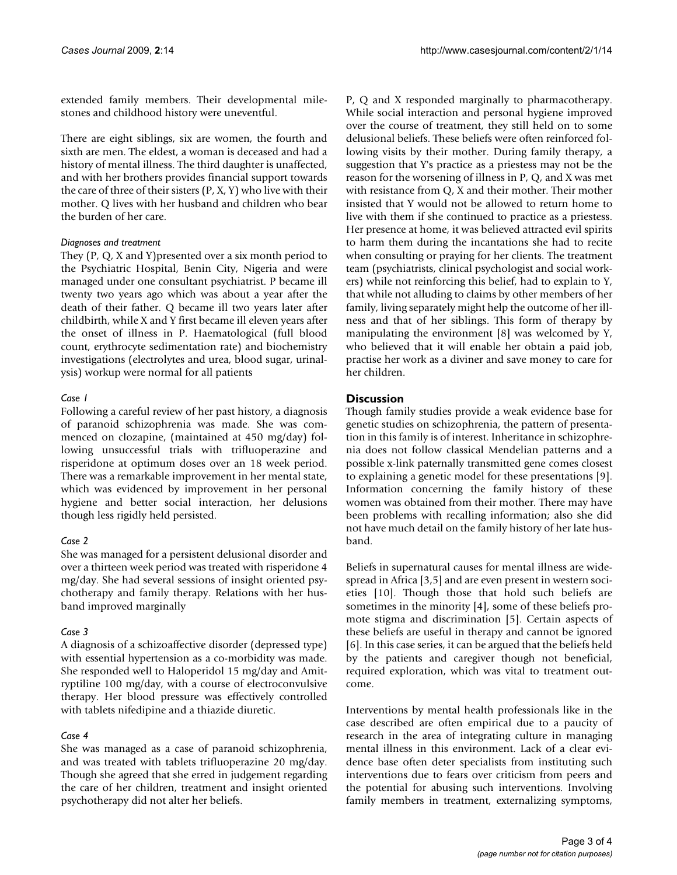extended family members. Their developmental milestones and childhood history were uneventful.

There are eight siblings, six are women, the fourth and sixth are men. The eldest, a woman is deceased and had a history of mental illness. The third daughter is unaffected, and with her brothers provides financial support towards the care of three of their sisters  $(P, X, Y)$  who live with their mother. Q lives with her husband and children who bear the burden of her care.

#### *Diagnoses and treatment*

They (P, Q, X and Y)presented over a six month period to the Psychiatric Hospital, Benin City, Nigeria and were managed under one consultant psychiatrist. P became ill twenty two years ago which was about a year after the death of their father. Q became ill two years later after childbirth, while X and Y first became ill eleven years after the onset of illness in P. Haematological (full blood count, erythrocyte sedimentation rate) and biochemistry investigations (electrolytes and urea, blood sugar, urinalysis) workup were normal for all patients

## *Case 1*

Following a careful review of her past history, a diagnosis of paranoid schizophrenia was made. She was commenced on clozapine, (maintained at 450 mg/day) following unsuccessful trials with trifluoperazine and risperidone at optimum doses over an 18 week period. There was a remarkable improvement in her mental state, which was evidenced by improvement in her personal hygiene and better social interaction, her delusions though less rigidly held persisted.

## *Case 2*

She was managed for a persistent delusional disorder and over a thirteen week period was treated with risperidone 4 mg/day. She had several sessions of insight oriented psychotherapy and family therapy. Relations with her husband improved marginally

## *Case 3*

A diagnosis of a schizoaffective disorder (depressed type) with essential hypertension as a co-morbidity was made. She responded well to Haloperidol 15 mg/day and Amitryptiline 100 mg/day, with a course of electroconvulsive therapy. Her blood pressure was effectively controlled with tablets nifedipine and a thiazide diuretic.

## *Case 4*

She was managed as a case of paranoid schizophrenia, and was treated with tablets trifluoperazine 20 mg/day. Though she agreed that she erred in judgement regarding the care of her children, treatment and insight oriented psychotherapy did not alter her beliefs.

P, Q and X responded marginally to pharmacotherapy. While social interaction and personal hygiene improved over the course of treatment, they still held on to some delusional beliefs. These beliefs were often reinforced following visits by their mother. During family therapy, a suggestion that Y's practice as a priestess may not be the reason for the worsening of illness in P, Q, and X was met with resistance from Q, X and their mother. Their mother insisted that Y would not be allowed to return home to live with them if she continued to practice as a priestess. Her presence at home, it was believed attracted evil spirits to harm them during the incantations she had to recite when consulting or praying for her clients. The treatment team (psychiatrists, clinical psychologist and social workers) while not reinforcing this belief, had to explain to Y, that while not alluding to claims by other members of her family, living separately might help the outcome of her illness and that of her siblings. This form of therapy by manipulating the environment [8] was welcomed by Y, who believed that it will enable her obtain a paid job, practise her work as a diviner and save money to care for her children.

## **Discussion**

Though family studies provide a weak evidence base for genetic studies on schizophrenia, the pattern of presentation in this family is of interest. Inheritance in schizophrenia does not follow classical Mendelian patterns and a possible x-link paternally transmitted gene comes closest to explaining a genetic model for these presentations [9]. Information concerning the family history of these women was obtained from their mother. There may have been problems with recalling information; also she did not have much detail on the family history of her late husband.

Beliefs in supernatural causes for mental illness are widespread in Africa [3,5] and are even present in western societies [10]. Though those that hold such beliefs are sometimes in the minority [4], some of these beliefs promote stigma and discrimination [5]. Certain aspects of these beliefs are useful in therapy and cannot be ignored [6]. In this case series, it can be argued that the beliefs held by the patients and caregiver though not beneficial, required exploration, which was vital to treatment outcome.

Interventions by mental health professionals like in the case described are often empirical due to a paucity of research in the area of integrating culture in managing mental illness in this environment. Lack of a clear evidence base often deter specialists from instituting such interventions due to fears over criticism from peers and the potential for abusing such interventions. Involving family members in treatment, externalizing symptoms,